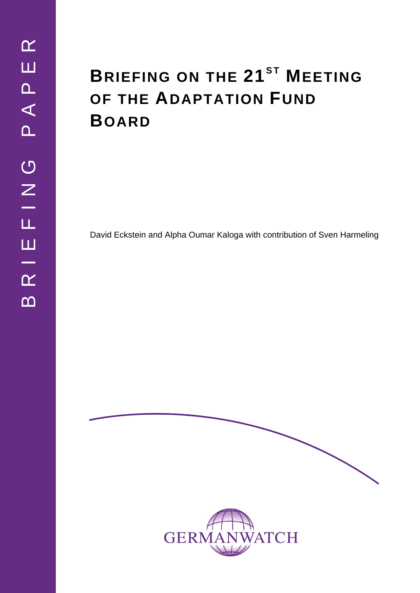# **BRIEFING ON THE 21<sup>ST</sup> MEETING OF THE ADAPTATION FUND BOARD**

David Eckstein and Alpha Oumar Kaloga with contribution of Sven Harmeling

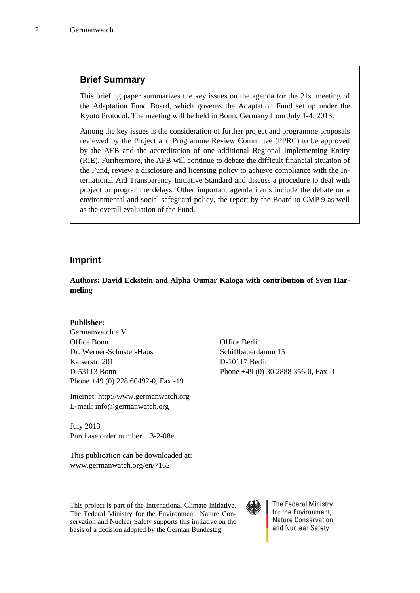#### **Brief Summary**

This briefing paper summarizes the key issues on the agenda for the 21st meeting of the Adaptation Fund Board, which governs the Adaptation Fund set up under the Kyoto Protocol. The meeting will be held in Bonn, Germany from July 1-4, 2013.

Among the key issues is the consideration of further project and programme proposals reviewed by the Project and Programme Review Committee (PPRC) to be approved by the AFB and the accreditation of one additional Regional Implementing Entity (RIE). Furthermore, the AFB will continue to debate the difficult financial situation of the Fund, review a disclosure and licensing policy to achieve compliance with the International Aid Transparency Initiative Standard and discuss a procedure to deal with project or programme delays. Other important agenda items include the debate on a environmental and social safeguard policy, the report by the Board to CMP 9 as well as the overall evaluation of the Fund.

#### **Imprint**

**Authors: David Eckstein and Alpha Oumar Kaloga with contribution of Sven Harmeling** 

#### **Publisher:**

Germanwatch e.V. Office Bonn Office Berlin Dr. Werner-Schuster-Haus Schiffbauerdamm 15 Kaiserstr. 201 D-10117 Berlin D-53113 Bonn Phone +49 (0) 30 2888 356-0, Fax -1 Phone +49 (0) 228 60492-0, Fax -19

Internet: http://www.germanwatch.org E-mail: info@germanwatch.org

July 2013 Purchase order number: 13-2-08e

This publication can be downloaded at: www.germanwatch.org/en/7162

This project is part of the International Climate Initiative. The Federal Ministry for the Environment, Nature Conservation and Nuclear Safety supports this initiative on the basis of a decision adopted by the German Bundestag



**The Federal Ministry** for the Environment, **Nature Conservation** and Nuclear Safety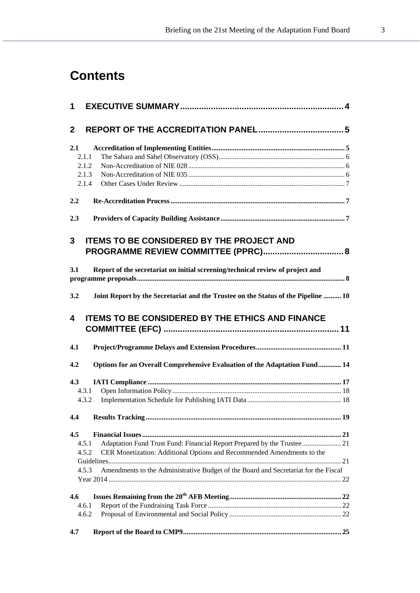# **Contents**

| $\mathbf 1$  |                                                                                              |     |
|--------------|----------------------------------------------------------------------------------------------|-----|
| $\mathbf{2}$ |                                                                                              |     |
| 2.1          |                                                                                              |     |
|              | 2.1.1                                                                                        |     |
|              | 2.1.2                                                                                        |     |
|              | 2.1.3                                                                                        |     |
|              | 2.1.4                                                                                        |     |
| 2.2          |                                                                                              |     |
| 2.3          |                                                                                              |     |
| 3            | <b>ITEMS TO BE CONSIDERED BY THE PROJECT AND</b>                                             |     |
| 3.1          | Report of the secretariat on initial screening/technical review of project and               |     |
| 3.2          | Joint Report by the Secretariat and the Trustee on the Status of the Pipeline  10            |     |
| 4            | <b>ITEMS TO BE CONSIDERED BY THE ETHICS AND FINANCE</b>                                      |     |
| 4.1          |                                                                                              |     |
| 4.2          | Options for an Overall Comprehensive Evaluation of the Adaptation Fund 14                    |     |
| 4.3          |                                                                                              |     |
|              | 4.3.1                                                                                        |     |
|              | 4.3.2                                                                                        |     |
|              |                                                                                              | .19 |
| 4.5          |                                                                                              |     |
|              | Adaptation Fund Trust Fund: Financial Report Prepared by the Trustee 21<br>4.5.1             |     |
|              | CER Monetization: Additional Options and Recommended Amendments to the<br>4.5.2              |     |
|              |                                                                                              |     |
|              | Amendments to the Administrative Budget of the Board and Secretariat for the Fiscal<br>4.5.3 |     |
|              |                                                                                              |     |
| 4.6          |                                                                                              |     |
|              | 4.6.1                                                                                        |     |
|              | 4.6.2                                                                                        |     |
| 4.7          |                                                                                              |     |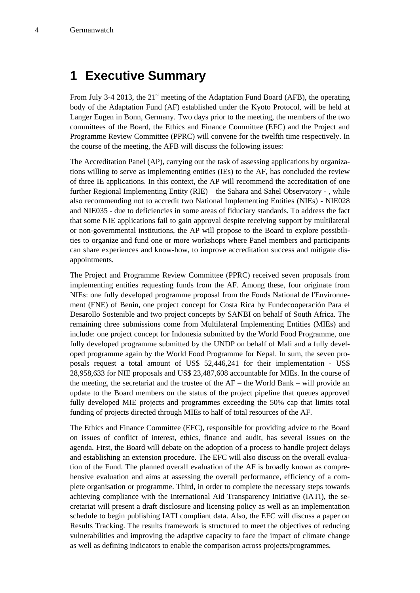# <span id="page-3-0"></span>**1 Executive Summary**

From July 3-4 2013, the  $21<sup>st</sup>$  meeting of the Adaptation Fund Board (AFB), the operating body of the Adaptation Fund (AF) established under the Kyoto Protocol, will be held at Langer Eugen in Bonn, Germany. Two days prior to the meeting, the members of the two committees of the Board, the Ethics and Finance Committee (EFC) and the Project and Programme Review Committee (PPRC) will convene for the twelfth time respectively. In the course of the meeting, the AFB will discuss the following issues:

The Accreditation Panel (AP), carrying out the task of assessing applications by organizations willing to serve as implementing entities (IEs) to the AF, has concluded the review of three IE applications. In this context, the AP will recommend the accreditation of one further Regional Implementing Entity (RIE) – the Sahara and Sahel Observatory - , while also recommending not to accredit two National Implementing Entities (NIEs) - NIE028 and NIE035 - due to deficiencies in some areas of fiduciary standards. To address the fact that some NIE applications fail to gain approval despite receiving support by multilateral or non-governmental institutions, the AP will propose to the Board to explore possibilities to organize and fund one or more workshops where Panel members and participants can share experiences and know-how, to improve accreditation success and mitigate disappointments.

The Project and Programme Review Committee (PPRC) received seven proposals from implementing entities requesting funds from the AF. Among these, four originate from NIEs: one fully developed programme proposal from the Fonds National de l'Environnement (FNE) of Benin, one project concept for Costa Rica by Fundecooperación Para el Desarollo Sostenible and two project concepts by SANBI on behalf of South Africa. The remaining three submissions come from Multilateral Implementing Entities (MIEs) and include: one project concept for Indonesia submitted by the World Food Programme, one fully developed programme submitted by the UNDP on behalf of Mali and a fully developed programme again by the World Food Programme for Nepal. In sum, the seven proposals request a total amount of US\$ 52,446,241 for their implementation - US\$ 28,958,633 for NIE proposals and US\$ 23,487,608 accountable for MIEs. In the course of the meeting, the secretariat and the trustee of the AF – the World Bank – will provide an update to the Board members on the status of the project pipeline that queues approved fully developed MIE projects and programmes exceeding the 50% cap that limits total funding of projects directed through MIEs to half of total resources of the AF.

The Ethics and Finance Committee (EFC), responsible for providing advice to the Board on issues of conflict of interest, ethics, finance and audit, has several issues on the agenda. First, the Board will debate on the adoption of a process to handle project delays and establishing an extension procedure. The EFC will also discuss on the overall evaluation of the Fund. The planned overall evaluation of the AF is broadly known as comprehensive evaluation and aims at assessing the overall performance, efficiency of a complete organisation or programme. Third, in order to complete the necessary steps towards achieving compliance with the International Aid Transparency Initiative (IATI), the secretariat will present a draft disclosure and licensing policy as well as an implementation schedule to begin publishing IATI compliant data. Also, the EFC will discuss a paper on Results Tracking. The results framework is structured to meet the objectives of reducing vulnerabilities and improving the adaptive capacity to face the impact of climate change as well as defining indicators to enable the comparison across projects/programmes.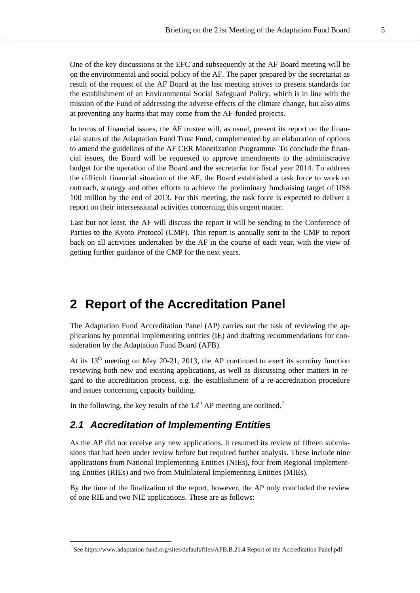One of the key discussions at the EFC and subsequently at the AF Board meeting will be on the environmental and social policy of the AF. The paper prepared by the secretariat as result of the request of the AF Board at the last meeting strives to present standards for the establishment of an Environmental Social Safeguard Policy, which is in line with the mission of the Fund of addressing the adverse effects of the climate change, but also aims at preventing any harms that may come from the AF-funded projects.

In terms of financial issues, the AF trustee will, as usual, present its report on the financial status of the Adaptation Fund Trust Fund, complemented by an elaboration of options to amend the guidelines of the AF CER Monetization Programme. To conclude the financial issues, the Board will be requested to approve amendments to the administrative budget for the operation of the Board and the secretariat for fiscal year 2014. To address the difficult financial situation of the AF, the Board established a task force to work on outreach, strategy and other efforts to achieve the preliminary fundraising target of US\$ 100 million by the end of 2013. For this meeting, the task force is expected to deliver a report on their intersessional activities concerning this urgent matter.

Last but not least, the AF will discuss the report it will be sending to the Conference of Parties to the Kyoto Protocol (CMP). This report is annually sent to the CMP to report back on all activities undertaken by the AF in the course of each year, with the view of getting further guidance of the CMP for the next years.

# <span id="page-4-0"></span>**2 Report of the Accreditation Panel**

The Adaptation Fund Accreditation Panel (AP) carries out the task of reviewing the applications by potential implementing entities (IE) and drafting recommendations for consideration by the Adaptation Fund Board (AFB).

At its  $13<sup>th</sup>$  meeting on May 20-21, 2013, the AP continued to exert its scrutiny function reviewing both new and existing applications, as well as discussing other matters in regard to the accreditation process, e.g. the establishment of a re-accreditation procedure and issues concerning capacity building.

In the following, the key results of the  $13<sup>th</sup>$  $13<sup>th</sup>$  AP meeting are outlined.<sup>1</sup>

### <span id="page-4-1"></span>*2.1 Accreditation of Implementing Entities*

l

As the AP did not receive any new applications, it resumed its review of fifteen submissions that had been under review before but required further analysis. These include nine applications from National Implementing Entities (NIEs), four from Regional Implementing Entities (RIEs) and two from Multilateral Implementing Entities (MIEs).

By the time of the finalization of the report, however, the AP only concluded the review of one RIE and two NIE applications. These are as follows:

<span id="page-4-2"></span><sup>&</sup>lt;sup>1</sup> See https://www.adaptation-fund.org/sites/default/files/AFB.B.21.4 Report of the Accreditation Panel.pdf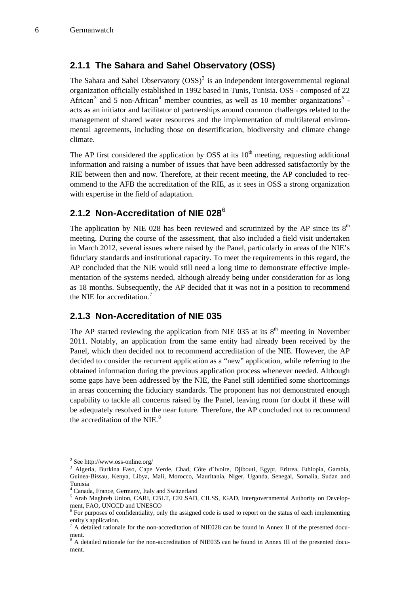#### <span id="page-5-0"></span>**2.1.1 The Sahara and Sahel Observatory (OSS)**

The Sahara and Sahel Observatory  $(SSS)^2$  $(SSS)^2$  is an independent intergovernmental regional organization officially established in 1992 based in Tunis, Tunisia. OSS - composed of 22 African<sup>[3](#page-5-4)</sup> and 5 non-African<sup>[4](#page-5-5)</sup> member countries, as well as 10 member organizations<sup>[5](#page-5-6)</sup> acts as an initiator and facilitator of partnerships around common challenges related to the management of shared water resources and the implementation of multilateral environmental agreements, including those on desertification, biodiversity and climate change climate.

The AP first considered the application by OSS at its  $10<sup>th</sup>$  meeting, requesting additional information and raising a number of issues that have been addressed satisfactorily by the RIE between then and now. Therefore, at their recent meeting, the AP concluded to recommend to the AFB the accreditation of the RIE, as it sees in OSS a strong organization with expertise in the field of adaptation.

## <span id="page-5-1"></span>**2.1.2 Non-Accreditation of NIE 028**[6](#page-5-7)

The application by NIE 028 has been reviewed and scrutinized by the AP since its  $8<sup>th</sup>$ meeting. During the course of the assessment, that also included a field visit undertaken in March 2012, several issues where raised by the Panel, particularly in areas of the NIE's fiduciary standards and institutional capacity. To meet the requirements in this regard, the AP concluded that the NIE would still need a long time to demonstrate effective implementation of the systems needed, although already being under consideration for as long as 18 months. Subsequently, the AP decided that it was not in a position to recommend the NIE for accreditation.[7](#page-5-8)

#### <span id="page-5-2"></span>**2.1.3 Non-Accreditation of NIE 035**

The AP started reviewing the application from NIE 035 at its  $8<sup>th</sup>$  meeting in November 2011. Notably, an application from the same entity had already been received by the Panel, which then decided not to recommend accreditation of the NIE. However, the AP decided to consider the recurrent application as a "new" application, while referring to the obtained information during the previous application process whenever needed. Although some gaps have been addressed by the NIE, the Panel still identified some shortcomings in areas concerning the fiduciary standards. The proponent has not demonstrated enough capability to tackle all concerns raised by the Panel, leaving room for doubt if these will be adequately resolved in the near future. Therefore, the AP concluded not to recommend the accreditation of the NIE.<sup>[8](#page-5-9)</sup>

<sup>2</sup> See http://www.oss-online.org/

<span id="page-5-4"></span><span id="page-5-3"></span><sup>&</sup>lt;sup>3</sup> Algeria, Burkina Faso, Cape Verde, Chad, Côte d'Ivoire, Djibouti, Egypt, Eritrea, Ethiopia, Gambia, Guinea-Bissau, Kenya, Libya, Mali, Morocco, Mauritania, Niger, Uganda, Senegal, Somalia, Sudan and Tunisia

<sup>4</sup> Canada, France, Germany, Italy and Switzerland

<span id="page-5-6"></span><span id="page-5-5"></span><sup>&</sup>lt;sup>5</sup> Arab Maghreb Union, CARI, CBLT, CELSAD, CILSS, IGAD, Intergovernmental Authority on Development, FAO, UNCCD and UNESCO

<span id="page-5-7"></span><sup>&</sup>lt;sup>6</sup> For purposes of confidentiality, only the assigned code is used to report on the status of each implementing entity's application.

<span id="page-5-8"></span> $^7$  A detailed rationale for the non-accreditation of NIE028 can be found in Annex II of the presented document.

<span id="page-5-9"></span>A detailed rationale for the non-accreditation of NIE035 can be found in Annex III of the presented document.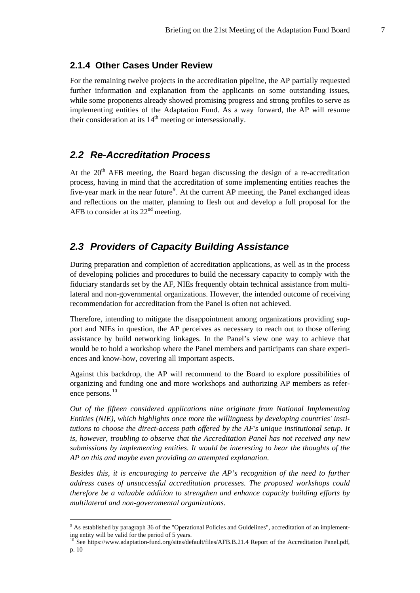#### <span id="page-6-0"></span>**2.1.4 Other Cases Under Review**

For the remaining twelve projects in the accreditation pipeline, the AP partially requested further information and explanation from the applicants on some outstanding issues, while some proponents already showed promising progress and strong profiles to serve as implementing entities of the Adaptation Fund. As a way forward, the AP will resume their consideration at its  $14<sup>th</sup>$  meeting or intersessionally.

#### <span id="page-6-1"></span>*2.2 Re-Accreditation Process*

At the  $20<sup>th</sup>$  AFB meeting, the Board began discussing the design of a re-accreditation process, having in mind that the accreditation of some implementing entities reaches the five-year mark in the near future<sup>[9](#page-6-3)</sup>. At the current AP meeting, the Panel exchanged ideas and reflections on the matter, planning to flesh out and develop a full proposal for the AFB to consider at its  $22<sup>nd</sup>$  meeting.

## <span id="page-6-2"></span>*2.3 Providers of Capacity Building Assistance*

During preparation and completion of accreditation applications, as well as in the process of developing policies and procedures to build the necessary capacity to comply with the fiduciary standards set by the AF, NIEs frequently obtain technical assistance from multilateral and non-governmental organizations. However, the intended outcome of receiving recommendation for accreditation from the Panel is often not achieved.

Therefore, intending to mitigate the disappointment among organizations providing support and NIEs in question, the AP perceives as necessary to reach out to those offering assistance by build networking linkages. In the Panel's view one way to achieve that would be to hold a workshop where the Panel members and participants can share experiences and know-how, covering all important aspects.

Against this backdrop, the AP will recommend to the Board to explore possibilities of organizing and funding one and more workshops and authorizing AP members as refer-ence persons.<sup>[10](#page-6-4)</sup>

*Out of the fifteen considered applications nine originate from National Implementing Entities (NIE), which highlights once more the willingness by developing countries' institutions to choose the direct-access path offered by the AF's unique institutional setup. It is, however, troubling to observe that the Accreditation Panel has not received any new submissions by implementing entities. It would be interesting to hear the thoughts of the AP on this and maybe even providing an attempted explanation.* 

*Besides this, it is encouraging to perceive the AP's recognition of the need to further address cases of unsuccessful accreditation processes. The proposed workshops could therefore be a valuable addition to strengthen and enhance capacity building efforts by multilateral and non-governmental organizations.* 

 $\overline{\phantom{a}}$ 

<span id="page-6-3"></span><sup>&</sup>lt;sup>9</sup> As established by paragraph 36 of the "Operational Policies and Guidelines", accreditation of an implementing entity will be valid for the period of 5 years.

<span id="page-6-4"></span><sup>10</sup> See https://www.adaptation-fund.org/sites/default/files/AFB.B.21.4 Report of the Accreditation Panel.pdf, p. 10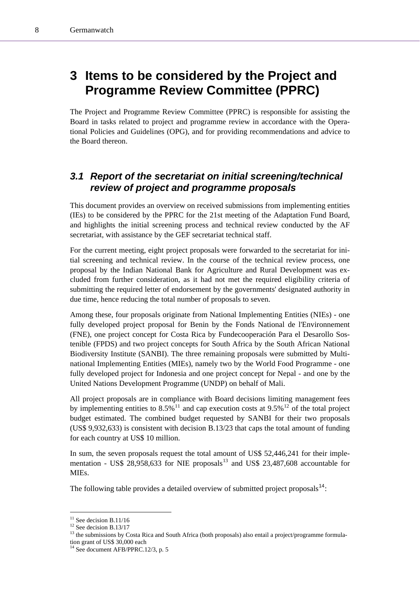# **3 Items to be considered by the Project and Programme Review Committee (PPRC)**

The Project and Programme Review Committee (PPRC) is responsible for assisting the Board in tasks related to project and programme review in accordance with the Operational Policies and Guidelines (OPG), and for providing recommendations and advice to the Board thereon.

## <span id="page-7-1"></span>*3.1 Report of the secretariat on initial screening/technical review of project and programme proposals*

This document provides an overview on received submissions from implementing entities (IEs) to be considered by the PPRC for the 21st meeting of the Adaptation Fund Board, and highlights the initial screening process and technical review conducted by the AF secretariat, with assistance by the GEF secretariat technical staff.

For the current meeting, eight project proposals were forwarded to the secretariat for initial screening and technical review. In the course of the technical review process, one proposal by the Indian National Bank for Agriculture and Rural Development was excluded from further consideration, as it had not met the required eligibility criteria of submitting the required letter of endorsement by the governments' designated authority in due time, hence reducing the total number of proposals to seven.

Among these, four proposals originate from National Implementing Entities (NIEs) - one fully developed project proposal for Benin by the Fonds National de l'Environnement (FNE), one project concept for Costa Rica by Fundecooperación Para el Desarollo Sostenible (FPDS) and two project concepts for South Africa by the South African National Biodiversity Institute (SANBI). The three remaining proposals were submitted by Multinational Implementing Entities (MIEs), namely two by the World Food Programme - one fully developed project for Indonesia and one project concept for Nepal - and one by the United Nations Development Programme (UNDP) on behalf of Mali.

All project proposals are in compliance with Board decisions limiting management fees by implementing entities to  $8.5\%$ <sup>[11](#page-7-0)</sup> and cap execution costs at  $9.5\%$ <sup>[12](#page-7-2)</sup> of the total project budget estimated. The combined budget requested by SANBI for their two proposals (US\$ 9,932,633) is consistent with decision B.13/23 that caps the total amount of funding for each country at US\$ 10 million.

In sum, the seven proposals request the total amount of US\$ 52,446,241 for their imple-mentation - US\$ 28,958,633 for NIE proposals<sup>[13](#page-7-3)</sup> and US\$ 23,487,608 accountable for MIEs.

The following table provides a detailed overview of submitted project proposals $^{14}$  $^{14}$  $^{14}$ :

<span id="page-7-0"></span> $11$  See decision B.11/16

<span id="page-7-2"></span> $12$  See decision B.13/17

<span id="page-7-3"></span><sup>&</sup>lt;sup>13</sup> the submissions by Costa Rica and South Africa (both proposals) also entail a project/programme formulation grant of US\$ 30,000 each

<span id="page-7-4"></span><sup>&</sup>lt;sup>14</sup> See document AFB/PPRC.12/3, p. 5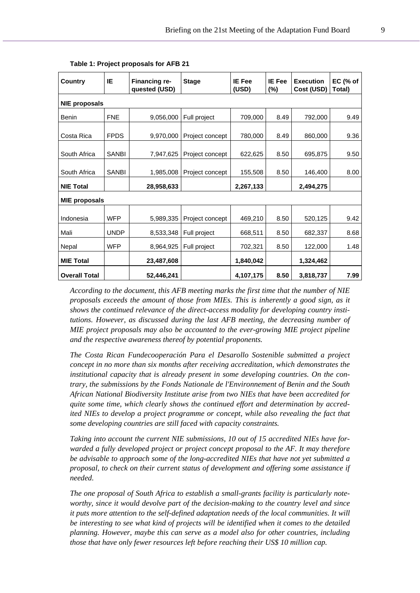| Country              | IE           | <b>Financing re-</b><br>quested (USD) | <b>Stage</b>    | <b>IE Fee</b><br>(USD) | <b>IE Fee</b><br>$(\%)$ | <b>Execution</b><br>Cost (USD) | $EC$ (% of<br>Total) |  |  |  |  |
|----------------------|--------------|---------------------------------------|-----------------|------------------------|-------------------------|--------------------------------|----------------------|--|--|--|--|
| <b>NIE proposals</b> |              |                                       |                 |                        |                         |                                |                      |  |  |  |  |
| <b>Benin</b>         | <b>FNE</b>   | 9,056,000                             | Full project    | 709,000                | 8.49                    | 792,000                        | 9.49                 |  |  |  |  |
| Costa Rica           | <b>FPDS</b>  | 9,970,000                             | Project concept | 780,000                | 8.49                    | 860,000                        | 9.36                 |  |  |  |  |
| South Africa         | <b>SANBI</b> | 7,947,625                             | Project concept | 622,625                | 8.50                    | 695,875                        | 9.50                 |  |  |  |  |
| South Africa         | <b>SANBI</b> | 1,985,008                             | Project concept | 155,508                | 8.50                    | 146,400                        | 8.00                 |  |  |  |  |
| <b>NIE Total</b>     |              | 28,958,633                            |                 | 2,267,133              |                         | 2,494,275                      |                      |  |  |  |  |
| <b>MIE</b> proposals |              |                                       |                 |                        |                         |                                |                      |  |  |  |  |
| Indonesia            | <b>WFP</b>   | 5,989,335                             | Project concept | 469,210                | 8.50                    | 520,125                        | 9.42                 |  |  |  |  |
| Mali                 | <b>UNDP</b>  | 8,533,348                             | Full project    | 668,511                | 8.50                    | 682,337                        | 8.68                 |  |  |  |  |
| Nepal                | <b>WFP</b>   | 8,964,925                             | Full project    | 702,321                | 8.50                    | 122,000                        | 1.48                 |  |  |  |  |
| <b>MIE Total</b>     |              | 23,487,608                            |                 | 1,840,042              |                         | 1,324,462                      |                      |  |  |  |  |
| <b>Overall Total</b> |              | 52,446,241                            |                 | 4,107,175              | 8.50                    | 3,818,737                      | 7.99                 |  |  |  |  |

**Table 1: Project proposals for AFB 21**

*According to the document, this AFB meeting marks the first time that the number of NIE proposals exceeds the amount of those from MIEs. This is inherently a good sign, as it shows the continued relevance of the direct-access modality for developing country institutions. However, as discussed during the last AFB meeting, the decreasing number of MIE project proposals may also be accounted to the ever-growing MIE project pipeline and the respective awareness thereof by potential proponents.* 

*The Costa Rican Fundecooperación Para el Desarollo Sostenible submitted a project concept in no more than six months after receiving accreditation, which demonstrates the institutional capacity that is already present in some developing countries. On the contrary, the submissions by the Fonds Nationale de l'Environnement of Benin and the South African National Biodiversity Institute arise from two NIEs that have been accredited for quite some time, which clearly shows the continued effort and determination by accredited NIEs to develop a project programme or concept, while also revealing the fact that some developing countries are still faced with capacity constraints.* 

*Taking into account the current NIE submissions, 10 out of 15 accredited NIEs have forwarded a fully developed project or project concept proposal to the AF. It may therefore be advisable to approach some of the long-accredited NIEs that have not yet submitted a proposal, to check on their current status of development and offering some assistance if needed.* 

*The one proposal of South Africa to establish a small-grants facility is particularly noteworthy, since it would devolve part of the decision-making to the country level and since it puts more attention to the self-defined adaptation needs of the local communities. It will be interesting to see what kind of projects will be identified when it comes to the detailed planning. However, maybe this can serve as a model also for other countries, including those that have only fewer resources left before reaching their US\$ 10 million cap.*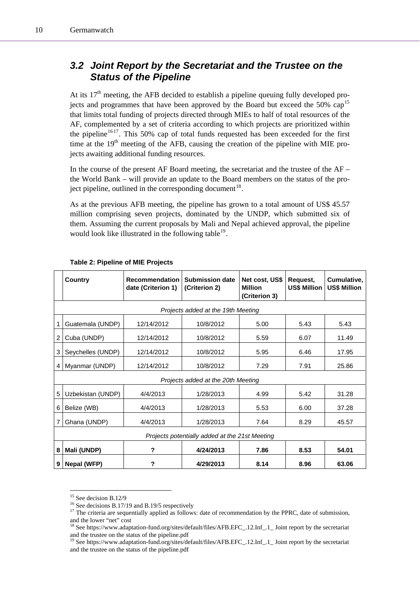## <span id="page-9-0"></span>*3.2 Joint Report by the Secretariat and the Trustee on the Status of the Pipeline*

At its  $17<sup>th</sup>$  meeting, the AFB decided to establish a pipeline queuing fully developed projects and programmes that have been approved by the Board but exceed the  $50\%$  cap<sup>[15](#page-9-1)</sup> that limits total funding of projects directed through MIEs to half of total resources of the AF, complemented by a set of criteria according to which projects are prioritized within the pipeline<sup>1617</sup>. This 50% cap of total funds requested has been exceeded for the first time at the  $19<sup>th</sup>$  meeting of the AFB, causing the creation of the pipeline with MIE projects awaiting additional funding resources.

In the course of the present AF Board meeting, the secretariat and the trustee of the AF – the World Bank – will provide an update to the Board members on the status of the pro-ject pipeline, outlined in the corresponding document<sup>[18](#page-9-3)</sup>.

As at the previous AFB meeting, the pipeline has grown to a total amount of US\$ 45.57 million comprising seven projects, dominated by the UNDP, which submitted six of them. Assuming the current proposals by Mali and Nepal achieved approval, the pipeline would look like illustrated in the following table  $19$ .

|                                                | Country           | <b>Recommendation</b><br>date (Criterion 1) | <b>Submission date</b><br>(Criterion 2) | Net cost, US\$<br><b>Million</b><br>(Criterion 3) | Request,<br><b>US\$ Million</b> | Cumulative,<br><b>US\$ Million</b> |  |  |  |
|------------------------------------------------|-------------------|---------------------------------------------|-----------------------------------------|---------------------------------------------------|---------------------------------|------------------------------------|--|--|--|
| Projects added at the 19th Meeting             |                   |                                             |                                         |                                                   |                                 |                                    |  |  |  |
| 1                                              | Guatemala (UNDP)  | 12/14/2012                                  | 10/8/2012                               | 5.00                                              | 5.43                            | 5.43                               |  |  |  |
| $\overline{2}$                                 | Cuba (UNDP)       | 12/14/2012                                  | 10/8/2012                               | 5.59                                              | 6.07                            | 11.49                              |  |  |  |
| 3                                              | Seychelles (UNDP) | 12/14/2012                                  | 10/8/2012                               | 5.95                                              | 6.46                            | 17.95                              |  |  |  |
| 4                                              | Myanmar (UNDP)    | 12/14/2012                                  | 10/8/2012                               | 7.29                                              | 7.91                            | 25.86                              |  |  |  |
| Projects added at the 20th Meeting             |                   |                                             |                                         |                                                   |                                 |                                    |  |  |  |
| 5                                              | Uzbekistan (UNDP) | 4/4/2013                                    | 1/28/2013                               | 4.99                                              | 5.42                            | 31.28                              |  |  |  |
| 6                                              | Belize (WB)       | 4/4/2013                                    | 1/28/2013                               | 5.53                                              | 6.00                            | 37.28                              |  |  |  |
|                                                | Ghana (UNDP)      | 4/4/2013                                    | 1/28/2013                               | 7.64                                              | 8.29                            | 45.57                              |  |  |  |
| Projects potentially added at the 21st Meeting |                   |                                             |                                         |                                                   |                                 |                                    |  |  |  |
| 8                                              | Mali (UNDP)       | ?                                           | 4/24/2013                               | 7.86                                              | 8.53                            | 54.01                              |  |  |  |
| 9                                              | Nepal (WFP)       | ?                                           | 4/29/2013                               | 8.14                                              | 8.96                            | 63.06                              |  |  |  |

#### **Table 2: Pipeline of MIE Projects**

<span id="page-9-1"></span><sup>&</sup>lt;sup>15</sup> See decision B.12/9

<span id="page-9-2"></span> $16$  See decisions B.17/19 and B.19/5 respectively

<sup>&</sup>lt;sup>17</sup> The criteria are sequentially applied as follows: date of recommendation by the PPRC, date of submission, and the lower "net" cost

<span id="page-9-3"></span><sup>&</sup>lt;sup>18</sup> See https://www.adaptation-fund.org/sites/default/files/AFB.EFC\_.12.Inf\_.1\_ Joint report by the secretariat and the trustee on the status of the pipeline.pdf

<span id="page-9-4"></span><sup>&</sup>lt;sup>19</sup> See https://www.adaptation-fund.org/sites/default/files/AFB.EFC\_.12.Inf\_.1\_Joint report by the secretariat and the trustee on the status of the pipeline.pdf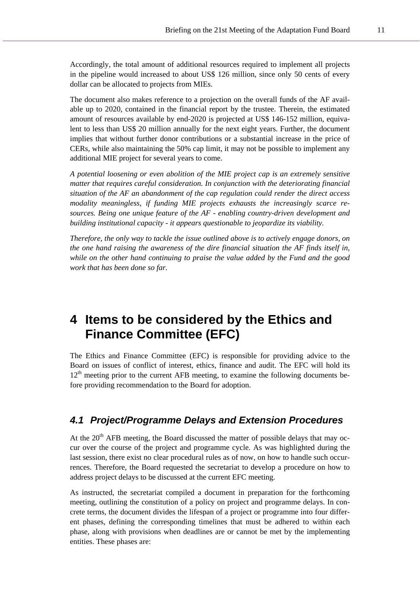Accordingly, the total amount of additional resources required to implement all projects in the pipeline would increased to about US\$ 126 million, since only 50 cents of every dollar can be allocated to projects from MIEs.

The document also makes reference to a projection on the overall funds of the AF available up to 2020, contained in the financial report by the trustee. Therein, the estimated amount of resources available by end-2020 is projected at US\$ 146-152 million, equivalent to less than US\$ 20 million annually for the next eight years. Further, the document implies that without further donor contributions or a substantial increase in the price of CERs, while also maintaining the 50% cap limit, it may not be possible to implement any additional MIE project for several years to come.

*A potential loosening or even abolition of the MIE project cap is an extremely sensitive matter that requires careful consideration. In conjunction with the deteriorating financial situation of the AF an abandonment of the cap regulation could render the direct access modality meaningless, if funding MIE projects exhausts the increasingly scarce resources. Being one unique feature of the AF - enabling country-driven development and building institutional capacity - it appears questionable to jeopardize its viability.* 

*Therefore, the only way to tackle the issue outlined above is to actively engage donors, on the one hand raising the awareness of the dire financial situation the AF finds itself in, while on the other hand continuing to praise the value added by the Fund and the good work that has been done so far.* 

# <span id="page-10-0"></span>**4 Items to be considered by the Ethics and Finance Committee (EFC)**

The Ethics and Finance Committee (EFC) is responsible for providing advice to the Board on issues of conflict of interest, ethics, finance and audit. The EFC will hold its  $12<sup>th</sup>$  meeting prior to the current AFB meeting, to examine the following documents before providing recommendation to the Board for adoption.

## <span id="page-10-1"></span>*4.1 Project/Programme Delays and Extension Procedures*

At the  $20<sup>th</sup>$  AFB meeting, the Board discussed the matter of possible delays that may occur over the course of the project and programme cycle. As was highlighted during the last session, there exist no clear procedural rules as of now, on how to handle such occurrences. Therefore, the Board requested the secretariat to develop a procedure on how to address project delays to be discussed at the current EFC meeting.

As instructed, the secretariat compiled a document in preparation for the forthcoming meeting, outlining the constitution of a policy on project and programme delays. In concrete terms, the document divides the lifespan of a project or programme into four different phases, defining the corresponding timelines that must be adhered to within each phase, along with provisions when deadlines are or cannot be met by the implementing entities. These phases are: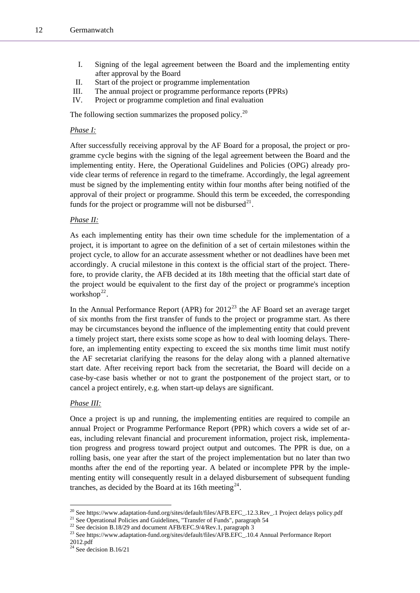- I. Signing of the legal agreement between the Board and the implementing entity after approval by the Board
- II. Start of the project or programme implementation
- III. The annual project or programme performance reports (PPRs)
- IV. Project or programme completion and final evaluation

The following section summarizes the proposed policy.<sup>[20](#page-11-0)</sup>

#### *Phase I:*

After successfully receiving approval by the AF Board for a proposal, the project or programme cycle begins with the signing of the legal agreement between the Board and the implementing entity. Here, the Operational Guidelines and Policies (OPG) already provide clear terms of reference in regard to the timeframe. Accordingly, the legal agreement must be signed by the implementing entity within four months after being notified of the approval of their project or programme. Should this term be exceeded, the corresponding funds for the project or programme will not be disbursed<sup>[21](#page-11-1)</sup>.

#### *Phase II:*

As each implementing entity has their own time schedule for the implementation of a project, it is important to agree on the definition of a set of certain milestones within the project cycle, to allow for an accurate assessment whether or not deadlines have been met accordingly. A crucial milestone in this context is the official start of the project. Therefore, to provide clarity, the AFB decided at its 18th meeting that the official start date of the project would be equivalent to the first day of the project or programme's inception workshop<sup>[22](#page-11-2)</sup>.

In the Annual Performance Report (APR) for  $2012^{23}$  $2012^{23}$  $2012^{23}$  the AF Board set an average target of six months from the first transfer of funds to the project or programme start. As there may be circumstances beyond the influence of the implementing entity that could prevent a timely project start, there exists some scope as how to deal with looming delays. Therefore, an implementing entity expecting to exceed the six months time limit must notify the AF secretariat clarifying the reasons for the delay along with a planned alternative start date. After receiving report back from the secretariat, the Board will decide on a case-by-case basis whether or not to grant the postponement of the project start, or to cancel a project entirely, e.g. when start-up delays are significant.

#### *Phase III:*

l

Once a project is up and running, the implementing entities are required to compile an annual Project or Programme Performance Report (PPR) which covers a wide set of areas, including relevant financial and procurement information, project risk, implementation progress and progress toward project output and outcomes. The PPR is due, on a rolling basis, one year after the start of the project implementation but no later than two months after the end of the reporting year. A belated or incomplete PPR by the implementing entity will consequently result in a delayed disbursement of subsequent funding tranches, as decided by the Board at its 16th meeting<sup>[24](#page-11-4)</sup>.

<span id="page-11-3"></span><span id="page-11-2"></span>

<span id="page-11-1"></span><span id="page-11-0"></span><sup>&</sup>lt;sup>20</sup> See https://www.adaptation-fund.org/sites/default/files/AFB.EFC\_12.3.Rev\_.1 Project delays policy.pdf <sup>21</sup> See Operational Policies and Guidelines, "Transfer of Funds", paragraph 54<br><sup>22</sup> See decision B.18/29 and docu 2012.pdf

<span id="page-11-4"></span> $24$  See decision B.16/21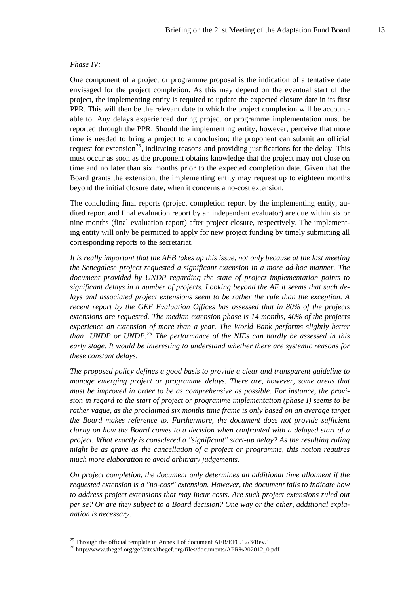#### *Phase IV:*

One component of a project or programme proposal is the indication of a tentative date envisaged for the project completion. As this may depend on the eventual start of the project, the implementing entity is required to update the expected closure date in its first PPR. This will then be the relevant date to which the project completion will be accountable to. Any delays experienced during project or programme implementation must be reported through the PPR. Should the implementing entity, however, perceive that more time is needed to bring a project to a conclusion; the proponent can submit an official request for extension<sup>[25](#page-12-0)</sup>, indicating reasons and providing justifications for the delay. This must occur as soon as the proponent obtains knowledge that the project may not close on time and no later than six months prior to the expected completion date. Given that the Board grants the extension, the implementing entity may request up to eighteen months beyond the initial closure date, when it concerns a no-cost extension.

The concluding final reports (project completion report by the implementing entity, audited report and final evaluation report by an independent evaluator) are due within six or nine months (final evaluation report) after project closure, respectively. The implementing entity will only be permitted to apply for new project funding by timely submitting all corresponding reports to the secretariat.

*It is really important that the AFB takes up this issue, not only because at the last meeting the Senegalese project requested a significant extension in a more ad-hoc manner. The document provided by UNDP regarding the state of project implementation points to significant delays in a number of projects. Looking beyond the AF it seems that such delays and associated project extensions seem to be rather the rule than the exception. A recent report by the GEF Evaluation Offices has assessed that in 80% of the projects extensions are requested. The median extension phase is 14 months, 40% of the projects experience an extension of more than a year. The World Bank performs slightly better than UNDP or UNDP.[26](#page-12-1) The performance of the NIEs can hardly be assessed in this early stage. It would be interesting to understand whether there are systemic reasons for these constant delays.* 

*The proposed policy defines a good basis to provide a clear and transparent guideline to manage emerging project or programme delays. There are, however, some areas that must be improved in order to be as comprehensive as possible. For instance, the provision in regard to the start of project or programme implementation (phase I) seems to be rather vague, as the proclaimed six months time frame is only based on an average target the Board makes reference to. Furthermore, the document does not provide sufficient clarity on how the Board comes to a decision when confronted with a delayed start of a project. What exactly is considered a "significant" start-up delay? As the resulting ruling might be as grave as the cancellation of a project or programme, this notion requires much more elaboration to avoid arbitrary judgements.* 

*On project completion, the document only determines an additional time allotment if the requested extension is a "no-cost" extension. However, the document fails to indicate how to address project extensions that may incur costs. Are such project extensions ruled out per se? Or are they subject to a Board decision? One way or the other, additional explanation is necessary.* 

<span id="page-12-1"></span><span id="page-12-0"></span><sup>&</sup>lt;sup>25</sup> Through the official template in Annex I of document AFB/EFC.12/3/Rev.1  $^{26}$  http://www.thegef.org/gef/sites/thegef.org/files/documents/APR%202012\_0.pdf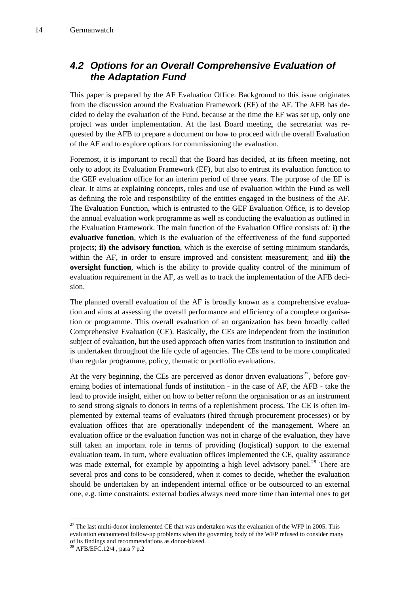## <span id="page-13-0"></span>*4.2 Options for an Overall Comprehensive Evaluation of the Adaptation Fund*

This paper is prepared by the AF Evaluation Office. Background to this issue originates from the discussion around the Evaluation Framework (EF) of the AF. The AFB has decided to delay the evaluation of the Fund, because at the time the EF was set up, only one project was under implementation. At the last Board meeting, the secretariat was requested by the AFB to prepare a document on how to proceed with the overall Evaluation of the AF and to explore options for commissioning the evaluation.

Foremost, it is important to recall that the Board has decided, at its fifteen meeting, not only to adopt its Evaluation Framework (EF), but also to entrust its evaluation function to the GEF evaluation office for an interim period of three years. The purpose of the EF is clear. It aims at explaining concepts, roles and use of evaluation within the Fund as well as defining the role and responsibility of the entities engaged in the business of the AF. The Evaluation Function, which is entrusted to the GEF Evaluation Office, is to develop the annual evaluation work programme as well as conducting the evaluation as outlined in the Evaluation Framework. The main function of the Evaluation Office consists of*:* **i) the evaluative function**, which is the evaluation of the effectiveness of the fund supported projects; **ii) the advisory function**, which is the exercise of setting minimum standards, within the AF, in order to ensure improved and consistent measurement; and **iii) the oversight function**, which is the ability to provide quality control of the minimum of evaluation requirement in the AF, as well as to track the implementation of the AFB decision.

The planned overall evaluation of the AF is broadly known as a comprehensive evaluation and aims at assessing the overall performance and efficiency of a complete organisation or programme. This overall evaluation of an organization has been broadly called Comprehensive Evaluation (CE). Basically, the CEs are independent from the institution subject of evaluation, but the used approach often varies from institution to institution and is undertaken throughout the life cycle of agencies. The CEs tend to be more complicated than regular programme, policy, thematic or portfolio evaluations.

At the very beginning, the CEs are perceived as donor driven evaluations<sup>[27](#page-13-1)</sup>, before governing bodies of international funds of institution - in the case of AF, the AFB - take the lead to provide insight, either on how to better reform the organisation or as an instrument to send strong signals to donors in terms of a replenishment process. The CE is often implemented by external teams of evaluators (hired through procurement processes) or by evaluation offices that are operationally independent of the management. Where an evaluation office or the evaluation function was not in charge of the evaluation, they have still taken an important role in terms of providing (logistical) support to the external evaluation team. In turn, where evaluation offices implemented the CE, quality assurance was made external, for example by appointing a high level advisory panel.<sup>[28](#page-13-2)</sup> There are several pros and cons to be considered, when it comes to decide, whether the evaluation should be undertaken by an independent internal office or be outsourced to an external one, e.g. time constraints: external bodies always need more time than internal ones to get

<span id="page-13-1"></span> $27$  The last multi-donor implemented CE that was undertaken was the evaluation of the WFP in 2005. This evaluation encountered follow-up problems when the governing body of the WFP refused to consider many of its findings and recommendations as donor-biased.

<span id="page-13-2"></span><sup>28</sup> AFB/EFC.12/4 , para 7 p.2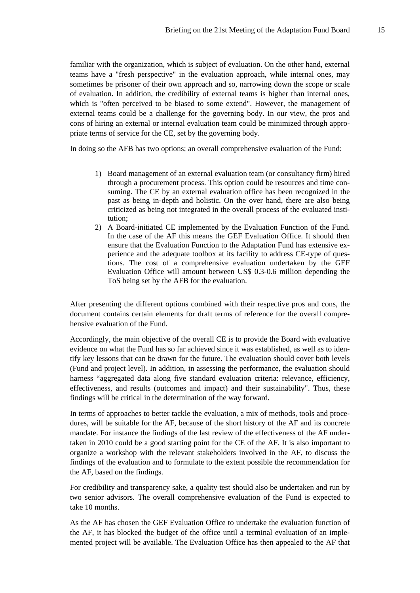familiar with the organization, which is subject of evaluation. On the other hand, external teams have a "fresh perspective" in the evaluation approach, while internal ones, may sometimes be prisoner of their own approach and so, narrowing down the scope or scale of evaluation. In addition, the credibility of external teams is higher than internal ones, which is "often perceived to be biased to some extend". However, the management of external teams could be a challenge for the governing body. In our view, the pros and cons of hiring an external or internal evaluation team could be minimized through appropriate terms of service for the CE, set by the governing body.

In doing so the AFB has two options; an overall comprehensive evaluation of the Fund:

- 1) Board management of an external evaluation team (or consultancy firm) hired through a procurement process. This option could be resources and time consuming. The CE by an external evaluation office has been recognized in the past as being in-depth and holistic. On the over hand, there are also being criticized as being not integrated in the overall process of the evaluated institution;
- 2) A Board-initiated CE implemented by the Evaluation Function of the Fund. In the case of the AF this means the GEF Evaluation Office. It should then ensure that the Evaluation Function to the Adaptation Fund has extensive experience and the adequate toolbox at its facility to address CE-type of questions. The cost of a comprehensive evaluation undertaken by the GEF Evaluation Office will amount between US\$ 0.3-0.6 million depending the ToS being set by the AFB for the evaluation.

After presenting the different options combined with their respective pros and cons, the document contains certain elements for draft terms of reference for the overall comprehensive evaluation of the Fund.

Accordingly, the main objective of the overall CE is to provide the Board with evaluative evidence on what the Fund has so far achieved since it was established, as well as to identify key lessons that can be drawn for the future. The evaluation should cover both levels (Fund and project level). In addition, in assessing the performance, the evaluation should harness "aggregated data along five standard evaluation criteria: relevance, efficiency, effectiveness, and results (outcomes and impact) and their sustainability". Thus, these findings will be critical in the determination of the way forward.

In terms of approaches to better tackle the evaluation, a mix of methods, tools and procedures, will be suitable for the AF, because of the short history of the AF and its concrete mandate. For instance the findings of the last review of the effectiveness of the AF undertaken in 2010 could be a good starting point for the CE of the AF. It is also important to organize a workshop with the relevant stakeholders involved in the AF, to discuss the findings of the evaluation and to formulate to the extent possible the recommendation for the AF, based on the findings.

For credibility and transparency sake, a quality test should also be undertaken and run by two senior advisors. The overall comprehensive evaluation of the Fund is expected to take 10 months.

As the AF has chosen the GEF Evaluation Office to undertake the evaluation function of the AF, it has blocked the budget of the office until a terminal evaluation of an implemented project will be available. The Evaluation Office has then appealed to the AF that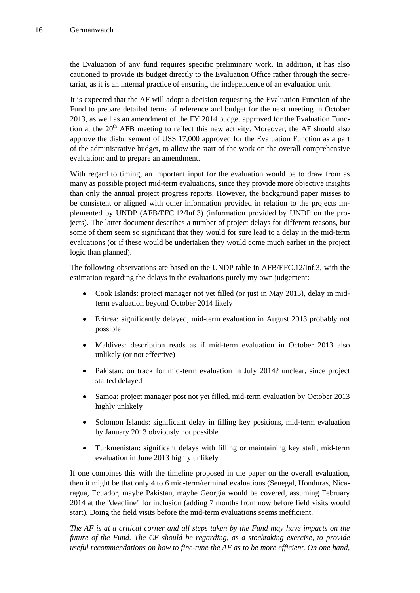the Evaluation of any fund requires specific preliminary work. In addition, it has also cautioned to provide its budget directly to the Evaluation Office rather through the secretariat, as it is an internal practice of ensuring the independence of an evaluation unit.

It is expected that the AF will adopt a decision requesting the Evaluation Function of the Fund to prepare detailed terms of reference and budget for the next meeting in October 2013, as well as an amendment of the FY 2014 budget approved for the Evaluation Function at the  $20<sup>th</sup>$  AFB meeting to reflect this new activity. Moreover, the AF should also approve the disbursement of US\$ 17,000 approved for the Evaluation Function as a part of the administrative budget, to allow the start of the work on the overall comprehensive evaluation; and to prepare an amendment.

With regard to timing, an important input for the evaluation would be to draw from as many as possible project mid-term evaluations, since they provide more objective insights than only the annual project progress reports. However, the background paper misses to be consistent or aligned with other information provided in relation to the projects implemented by UNDP (AFB/EFC.12/Inf.3) (information provided by UNDP on the projects). The latter document describes a number of project delays for different reasons, but some of them seem so significant that they would for sure lead to a delay in the mid-term evaluations (or if these would be undertaken they would come much earlier in the project logic than planned).

The following observations are based on the UNDP table in AFB/EFC.12/Inf.3, with the estimation regarding the delays in the evaluations purely my own judgement:

- Cook Islands: project manager not yet filled (or just in May 2013), delay in midterm evaluation beyond October 2014 likely
- Eritrea: significantly delayed, mid-term evaluation in August 2013 probably not possible
- Maldives: description reads as if mid-term evaluation in October 2013 also unlikely (or not effective)
- Pakistan: on track for mid-term evaluation in July 2014? unclear, since project started delayed
- Samoa: project manager post not yet filled, mid-term evaluation by October 2013 highly unlikely
- Solomon Islands: significant delay in filling key positions, mid-term evaluation by January 2013 obviously not possible
- Turkmenistan: significant delays with filling or maintaining key staff, mid-term evaluation in June 2013 highly unlikely

If one combines this with the timeline proposed in the paper on the overall evaluation, then it might be that only 4 to 6 mid-term/terminal evaluations (Senegal, Honduras, Nicaragua, Ecuador, maybe Pakistan, maybe Georgia would be covered, assuming February 2014 at the "deadline" for inclusion (adding 7 months from now before field visits would start). Doing the field visits before the mid-term evaluations seems inefficient.

*The AF is at a critical corner and all steps taken by the Fund may have impacts on the future of the Fund. The CE should be regarding, as a stocktaking exercise, to provide useful recommendations on how to fine-tune the AF as to be more efficient. On one hand,*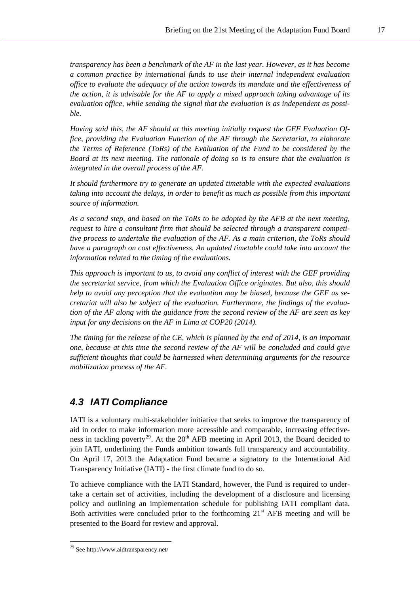*transparency has been a benchmark of the AF in the last year. However, as it has become a common practice by international funds to use their internal independent evaluation office to evaluate the adequacy of the action towards its mandate and the effectiveness of the action, it is advisable for the AF to apply a mixed approach taking advantage of its evaluation office, while sending the signal that the evaluation is as independent as possible.* 

*Having said this, the AF should at this meeting initially request the GEF Evaluation Office, providing the Evaluation Function of the AF through the Secretariat, to elaborate the Terms of Reference (ToRs) of the Evaluation of the Fund to be considered by the Board at its next meeting. The rationale of doing so is to ensure that the evaluation is integrated in the overall process of the AF.* 

*It should furthermore try to generate an updated timetable with the expected evaluations taking into account the delays, in order to benefit as much as possible from this important source of information.* 

*As a second step, and based on the ToRs to be adopted by the AFB at the next meeting, request to hire a consultant firm that should be selected through a transparent competitive process to undertake the evaluation of the AF. As a main criterion, the ToRs should have a paragraph on cost effectiveness. An updated timetable could take into account the information related to the timing of the evaluations.* 

*This approach is important to us, to avoid any conflict of interest with the GEF providing the secretariat service, from which the Evaluation Office originates. But also, this should help to avoid any perception that the evaluation may be biased, because the GEF as secretariat will also be subject of the evaluation. Furthermore, the findings of the evaluation of the AF along with the guidance from the second review of the AF are seen as key input for any decisions on the AF in Lima at COP20 (2014).* 

*The timing for the release of the CE, which is planned by the end of 2014, is an important one, because at this time the second review of the AF will be concluded and could give sufficient thoughts that could be harnessed when determining arguments for the resource mobilization process of the AF.* 

## <span id="page-16-0"></span>*4.3 IATI Compliance*

IATI is a voluntary multi-stakeholder initiative that seeks to improve the transparency of aid in order to make information more accessible and comparable, increasing effective-ness in tackling poverty<sup>[29](#page-16-1)</sup>. At the  $20<sup>th</sup>$  AFB meeting in April 2013, the Board decided to join IATI, underlining the Funds ambition towards full transparency and accountability. On April 17, 2013 the Adaptation Fund became a signatory to the International Aid Transparency Initiative (IATI) - the first climate fund to do so.

To achieve compliance with the IATI Standard, however, the Fund is required to undertake a certain set of activities, including the development of a disclosure and licensing policy and outlining an implementation schedule for publishing IATI compliant data. Both activities were concluded prior to the forthcoming  $21<sup>st</sup> AFB$  meeting and will be presented to the Board for review and approval.

<span id="page-16-1"></span><sup>29</sup> See http://www.aidtransparency.net/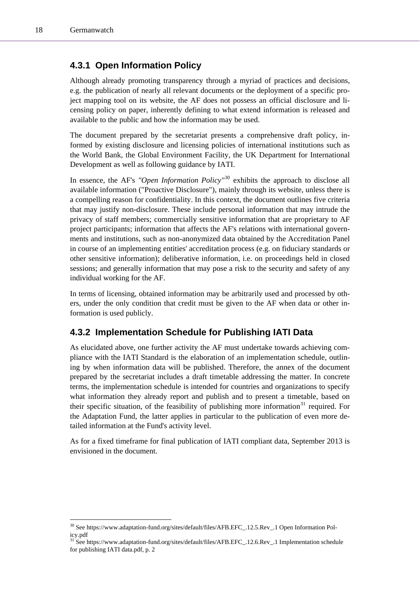l

#### <span id="page-17-0"></span>**4.3.1 Open Information Policy**

Although already promoting transparency through a myriad of practices and decisions, e.g. the publication of nearly all relevant documents or the deployment of a specific project mapping tool on its website, the AF does not possess an official disclosure and licensing policy on paper, inherently defining to what extend information is released and available to the public and how the information may be used.

The document prepared by the secretariat presents a comprehensive draft policy, informed by existing disclosure and licensing policies of international institutions such as the World Bank, the Global Environment Facility, the UK Department for International Development as well as following guidance by IATI.

In essence, the AF's *"Open Information Policy"*[30](#page-17-2) exhibits the approach to disclose all available information ("Proactive Disclosure"), mainly through its website, unless there is a compelling reason for confidentiality. In this context, the document outlines five criteria that may justify non-disclosure. These include personal information that may intrude the privacy of staff members; commercially sensitive information that are proprietary to AF project participants; information that affects the AF's relations with international governments and institutions, such as non-anonymized data obtained by the Accreditation Panel in course of an implementing entities' accreditation process (e.g. on fiduciary standards or other sensitive information); deliberative information, i.e. on proceedings held in closed sessions; and generally information that may pose a risk to the security and safety of any individual working for the AF.

In terms of licensing, obtained information may be arbitrarily used and processed by others, under the only condition that credit must be given to the AF when data or other information is used publicly.

#### <span id="page-17-1"></span>**4.3.2 Implementation Schedule for Publishing IATI Data**

As elucidated above, one further activity the AF must undertake towards achieving compliance with the IATI Standard is the elaboration of an implementation schedule, outlining by when information data will be published. Therefore, the annex of the document prepared by the secretariat includes a draft timetable addressing the matter. In concrete terms, the implementation schedule is intended for countries and organizations to specify what information they already report and publish and to present a timetable, based on their specific situation, of the feasibility of publishing more information<sup>[31](#page-17-3)</sup> required. For the Adaptation Fund, the latter applies in particular to the publication of even more detailed information at the Fund's activity level.

As for a fixed timeframe for final publication of IATI compliant data, September 2013 is envisioned in the document.

<span id="page-17-2"></span><sup>30</sup> See https://www.adaptation-fund.org/sites/default/files/AFB.EFC\_.12.5.Rev\_.1 Open Information Policy.pdf

<span id="page-17-3"></span><sup>31</sup> See https://www.adaptation-fund.org/sites/default/files/AFB.EFC\_.12.6.Rev\_.1 Implementation schedule for publishing IATI data.pdf, p. 2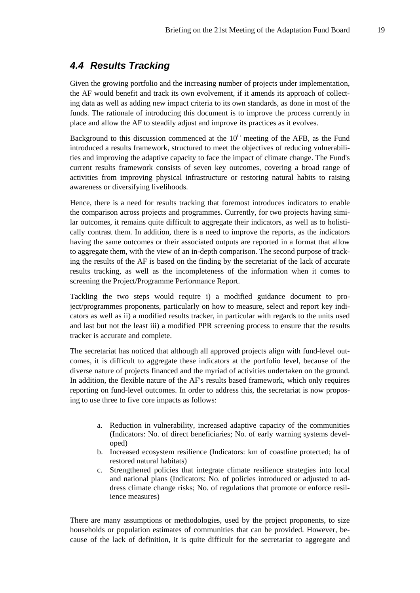## <span id="page-18-0"></span>*4.4 Results Tracking*

Given the growing portfolio and the increasing number of projects under implementation, the AF would benefit and track its own evolvement, if it amends its approach of collecting data as well as adding new impact criteria to its own standards, as done in most of the funds. The rationale of introducing this document is to improve the process currently in place and allow the AF to steadily adjust and improve its practices as it evolves.

Background to this discussion commenced at the  $10<sup>th</sup>$  meeting of the AFB, as the Fund introduced a results framework, structured to meet the objectives of reducing vulnerabilities and improving the adaptive capacity to face the impact of climate change. The Fund's current results framework consists of seven key outcomes, covering a broad range of activities from improving physical infrastructure or restoring natural habits to raising awareness or diversifying livelihoods.

Hence, there is a need for results tracking that foremost introduces indicators to enable the comparison across projects and programmes. Currently, for two projects having similar outcomes, it remains quite difficult to aggregate their indicators, as well as to holistically contrast them. In addition, there is a need to improve the reports, as the indicators having the same outcomes or their associated outputs are reported in a format that allow to aggregate them, with the view of an in-depth comparison. The second purpose of tracking the results of the AF is based on the finding by the secretariat of the lack of accurate results tracking, as well as the incompleteness of the information when it comes to screening the Project/Programme Performance Report.

Tackling the two steps would require i) a modified guidance document to project/programmes proponents, particularly on how to measure, select and report key indicators as well as ii) a modified results tracker, in particular with regards to the units used and last but not the least iii) a modified PPR screening process to ensure that the results tracker is accurate and complete.

The secretariat has noticed that although all approved projects align with fund-level outcomes, it is difficult to aggregate these indicators at the portfolio level, because of the diverse nature of projects financed and the myriad of activities undertaken on the ground. In addition, the flexible nature of the AF's results based framework, which only requires reporting on fund-level outcomes. In order to address this, the secretariat is now proposing to use three to five core impacts as follows:

- a. Reduction in vulnerability, increased adaptive capacity of the communities (Indicators: No. of direct beneficiaries; No. of early warning systems developed)
- b. Increased ecosystem resilience (Indicators: km of coastline protected; ha of restored natural habitats)
- c. Strengthened policies that integrate climate resilience strategies into local and national plans (Indicators: No. of policies introduced or adjusted to address climate change risks; No. of regulations that promote or enforce resilience measures)

There are many assumptions or methodologies, used by the project proponents, to size households or population estimates of communities that can be provided. However, because of the lack of definition, it is quite difficult for the secretariat to aggregate and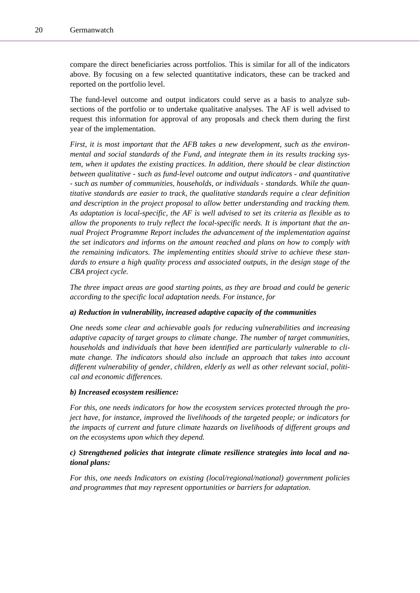compare the direct beneficiaries across portfolios. This is similar for all of the indicators above. By focusing on a few selected quantitative indicators, these can be tracked and reported on the portfolio level.

The fund-level outcome and output indicators could serve as a basis to analyze subsections of the portfolio or to undertake qualitative analyses. The AF is well advised to request this information for approval of any proposals and check them during the first year of the implementation.

*First, it is most important that the AFB takes a new development, such as the environmental and social standards of the Fund, and integrate them in its results tracking system, when it updates the existing practices. In addition, there should be clear distinction between qualitative - such as fund-level outcome and output indicators - and quantitative - such as number of communities, households, or individuals - standards. While the quantitative standards are easier to track, the qualitative standards require a clear definition and description in the project proposal to allow better understanding and tracking them. As adaptation is local-specific, the AF is well advised to set its criteria as flexible as to allow the proponents to truly reflect the local-specific needs. It is important that the annual Project Programme Report includes the advancement of the implementation against the set indicators and informs on the amount reached and plans on how to comply with the remaining indicators. The implementing entities should strive to achieve these standards to ensure a high quality process and associated outputs, in the design stage of the CBA project cycle.* 

*The three impact areas are good starting points, as they are broad and could be generic according to the specific local adaptation needs. For instance, for* 

#### *a) Reduction in vulnerability, increased adaptive capacity of the communities*

*One needs some clear and achievable goals for reducing vulnerabilities and increasing adaptive capacity of target groups to climate change. The number of target communities, households and individuals that have been identified are particularly vulnerable to climate change. The indicators should also include an approach that takes into account different vulnerability of gender, children, elderly as well as other relevant social, political and economic differences.* 

#### *b) Increased ecosystem resilience:*

*For this, one needs indicators for how the ecosystem services protected through the project have, for instance, improved the livelihoods of the targeted people; or indicators for the impacts of current and future climate hazards on livelihoods of different groups and on the ecosystems upon which they depend.* 

#### *c) Strengthened policies that integrate climate resilience strategies into local and national plans:*

*For this, one needs Indicators on existing (local/regional/national) government policies and programmes that may represent opportunities or barriers for adaptation.*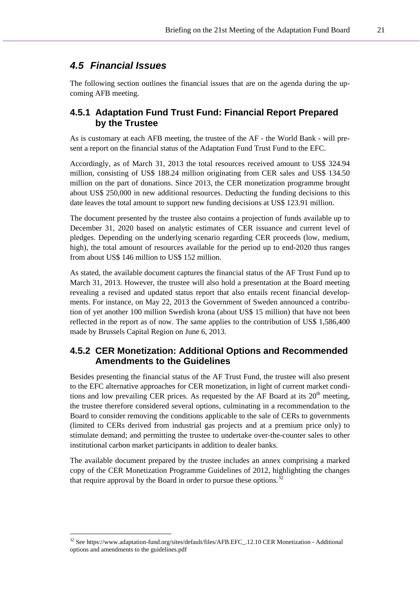## <span id="page-20-0"></span>*4.5 Financial Issues*

The following section outlines the financial issues that are on the agenda during the upcoming AFB meeting.

### <span id="page-20-1"></span>**4.5.1 Adaptation Fund Trust Fund: Financial Report Prepared by the Trustee**

As is customary at each AFB meeting, the trustee of the AF - the World Bank - will present a report on the financial status of the Adaptation Fund Trust Fund to the EFC.

Accordingly, as of March 31, 2013 the total resources received amount to US\$ 324.94 million, consisting of US\$ 188.24 million originating from CER sales and US\$ 134.50 million on the part of donations. Since 2013, the CER monetization programme brought about US\$ 250,000 in new additional resources. Deducting the funding decisions to this date leaves the total amount to support new funding decisions at US\$ 123.91 million.

The document presented by the trustee also contains a projection of funds available up to December 31, 2020 based on analytic estimates of CER issuance and current level of pledges. Depending on the underlying scenario regarding CER proceeds (low, medium, high), the total amount of resources available for the period up to end-2020 thus ranges from about US\$ 146 million to US\$ 152 million.

As stated, the available document captures the financial status of the AF Trust Fund up to March 31, 2013. However, the trustee will also hold a presentation at the Board meeting revealing a revised and updated status report that also entails recent financial developments. For instance, on May 22, 2013 the Government of Sweden announced a contribution of yet another 100 million Swedish krona (about US\$ 15 million) that have not been reflected in the report as of now. The same applies to the contribution of US\$ 1,586,400 made by Brussels Capital Region on June 6, 2013.

### <span id="page-20-2"></span>**4.5.2 CER Monetization: Additional Options and Recommended Amendments to the Guidelines**

Besides presenting the financial status of the AF Trust Fund, the trustee will also present to the EFC alternative approaches for CER monetization, in light of current market conditions and low prevailing CER prices. As requested by the AF Board at its  $20<sup>th</sup>$  meeting, the trustee therefore considered several options, culminating in a recommendation to the Board to consider removing the conditions applicable to the sale of CERs to governments (limited to CERs derived from industrial gas projects and at a premium price only) to stimulate demand; and permitting the trustee to undertake over-the-counter sales to other institutional carbon market participants in addition to dealer banks.

The available document prepared by the trustee includes an annex comprising a marked copy of the CER Monetization Programme Guidelines of 2012, highlighting the changes that require approval by the Board in order to pursue these options.<sup>[32](#page-20-3)</sup>

<span id="page-20-3"></span><sup>32</sup> See https://www.adaptation-fund.org/sites/default/files/AFB.EFC\_.12.10 CER Monetization - Additional options and amendments to the guidelines.pdf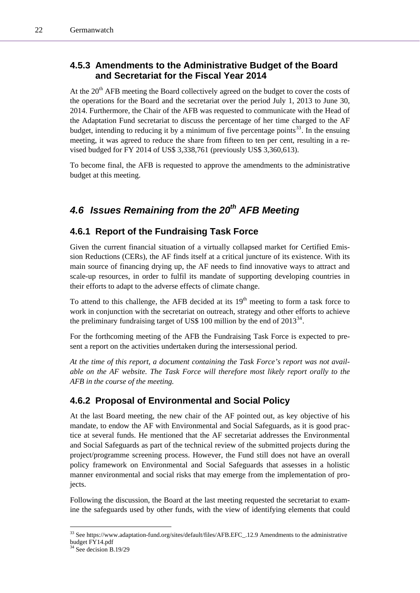#### <span id="page-21-0"></span>**4.5.3 Amendments to the Administrative Budget of the Board and Secretariat for the Fiscal Year 2014**

At the  $20<sup>th</sup>$  AFB meeting the Board collectively agreed on the budget to cover the costs of the operations for the Board and the secretariat over the period July 1, 2013 to June 30, 2014. Furthermore, the Chair of the AFB was requested to communicate with the Head of the Adaptation Fund secretariat to discuss the percentage of her time charged to the AF budget, intending to reducing it by a minimum of five percentage points<sup>[33](#page-21-4)</sup>. In the ensuing meeting, it was agreed to reduce the share from fifteen to ten per cent, resulting in a revised budged for FY 2014 of US\$ 3,338,761 (previously US\$ 3,360,613).

To become final, the AFB is requested to approve the amendments to the administrative budget at this meeting.

## <span id="page-21-1"></span>*4.6 Issues Remaining from the 20th AFB Meeting*

#### <span id="page-21-2"></span>**4.6.1 Report of the Fundraising Task Force**

Given the current financial situation of a virtually collapsed market for Certified Emission Reductions (CERs), the AF finds itself at a critical juncture of its existence. With its main source of financing drying up, the AF needs to find innovative ways to attract and scale-up resources, in order to fulfil its mandate of supporting developing countries in their efforts to adapt to the adverse effects of climate change.

To attend to this challenge, the AFB decided at its  $19<sup>th</sup>$  meeting to form a task force to work in conjunction with the secretariat on outreach, strategy and other efforts to achieve the preliminary fundraising target of US\$ 100 million by the end of  $2013^{34}$  $2013^{34}$  $2013^{34}$ .

For the forthcoming meeting of the AFB the Fundraising Task Force is expected to present a report on the activities undertaken during the intersessional period.

*At the time of this report, a document containing the Task Force's report was not available on the AF website. The Task Force will therefore most likely report orally to the AFB in the course of the meeting.* 

### <span id="page-21-3"></span>**4.6.2 Proposal of Environmental and Social Policy**

At the last Board meeting, the new chair of the AF pointed out, as key objective of his mandate, to endow the AF with Environmental and Social Safeguards, as it is good practice at several funds. He mentioned that the AF secretariat addresses the Environmental and Social Safeguards as part of the technical review of the submitted projects during the project/programme screening process. However, the Fund still does not have an overall policy framework on Environmental and Social Safeguards that assesses in a holistic manner environmental and social risks that may emerge from the implementation of projects.

Following the discussion, the Board at the last meeting requested the secretariat to examine the safeguards used by other funds, with the view of identifying elements that could

<span id="page-21-4"></span><sup>33</sup> See https://www.adaptation-fund.org/sites/default/files/AFB.EFC\_.12.9 Amendments to the administrative budget FY14.pdf

<span id="page-21-5"></span><sup>&</sup>lt;sup>34</sup> See decision B.19/29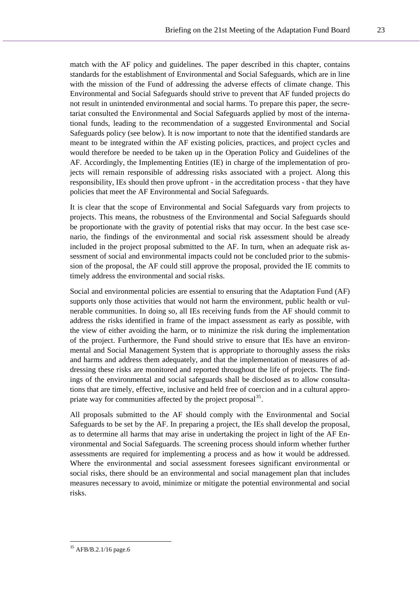match with the AF policy and guidelines. The paper described in this chapter, contains standards for the establishment of Environmental and Social Safeguards, which are in line with the mission of the Fund of addressing the adverse effects of climate change. This Environmental and Social Safeguards should strive to prevent that AF funded projects do not result in unintended environmental and social harms. To prepare this paper, the secretariat consulted the Environmental and Social Safeguards applied by most of the international funds, leading to the recommendation of a suggested Environmental and Social Safeguards policy (see below). It is now important to note that the identified standards are meant to be integrated within the AF existing policies, practices, and project cycles and would therefore be needed to be taken up in the Operation Policy and Guidelines of the AF. Accordingly, the Implementing Entities (IE) in charge of the implementation of projects will remain responsible of addressing risks associated with a project. Along this responsibility, IEs should then prove upfront - in the accreditation process - that they have policies that meet the AF Environmental and Social Safeguards.

It is clear that the scope of Environmental and Social Safeguards vary from projects to projects. This means, the robustness of the Environmental and Social Safeguards should be proportionate with the gravity of potential risks that may occur. In the best case scenario, the findings of the environmental and social risk assessment should be already included in the project proposal submitted to the AF. In turn, when an adequate risk assessment of social and environmental impacts could not be concluded prior to the submission of the proposal, the AF could still approve the proposal, provided the IE commits to timely address the environmental and social risks.

Social and environmental policies are essential to ensuring that the Adaptation Fund (AF) supports only those activities that would not harm the environment, public health or vulnerable communities. In doing so, all IEs receiving funds from the AF should commit to address the risks identified in frame of the impact assessment as early as possible, with the view of either avoiding the harm, or to minimize the risk during the implementation of the project. Furthermore, the Fund should strive to ensure that IEs have an environmental and Social Management System that is appropriate to thoroughly assess the risks and harms and address them adequately, and that the implementation of measures of addressing these risks are monitored and reported throughout the life of projects. The findings of the environmental and social safeguards shall be disclosed as to allow consultations that are timely, effective, inclusive and held free of coercion and in a cultural appropriate way for communities affected by the project proposal  $35$ .

All proposals submitted to the AF should comply with the Environmental and Social Safeguards to be set by the AF. In preparing a project, the IEs shall develop the proposal, as to determine all harms that may arise in undertaking the project in light of the AF Environmental and Social Safeguards. The screening process should inform whether further assessments are required for implementing a process and as how it would be addressed. Where the environmental and social assessment foresees significant environmental or social risks, there should be an environmental and social management plan that includes measures necessary to avoid, minimize or mitigate the potential environmental and social risks.

<span id="page-22-0"></span><sup>35</sup> AFB/B.2.1/16 page.6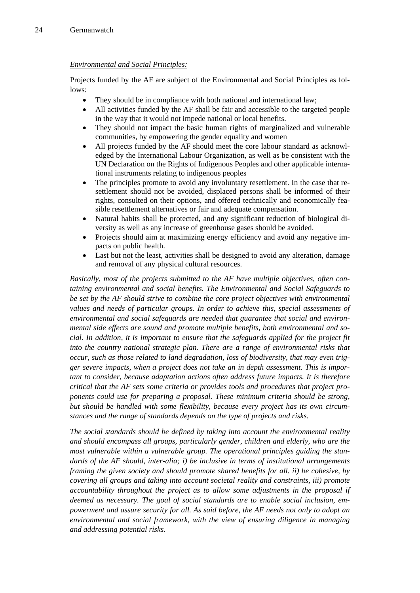#### *Environmental and Social Principles:*

Projects funded by the AF are subject of the Environmental and Social Principles as follows:

- They should be in compliance with both national and international law;
- All activities funded by the AF shall be fair and accessible to the targeted people in the way that it would not impede national or local benefits.
- They should not impact the basic human rights of marginalized and vulnerable communities, by empowering the gender equality and women
- All projects funded by the AF should meet the core labour standard as acknowledged by the International Labour Organization, as well as be consistent with the UN Declaration on the Rights of Indigenous Peoples and other applicable international instruments relating to indigenous peoples
- The principles promote to avoid any involuntary resettlement. In the case that resettlement should not be avoided, displaced persons shall be informed of their rights, consulted on their options, and offered technically and economically feasible resettlement alternatives or fair and adequate compensation.
- Natural habits shall be protected, and any significant reduction of biological diversity as well as any increase of greenhouse gases should be avoided.
- Projects should aim at maximizing energy efficiency and avoid any negative impacts on public health.
- Last but not the least, activities shall be designed to avoid any alteration, damage and removal of any physical cultural resources.

*Basically, most of the projects submitted to the AF have multiple objectives, often containing environmental and social benefits. The Environmental and Social Safeguards to be set by the AF should strive to combine the core project objectives with environmental values and needs of particular groups. In order to achieve this, special assessments of environmental and social safeguards are needed that guarantee that social and environmental side effects are sound and promote multiple benefits, both environmental and social. In addition, it is important to ensure that the safeguards applied for the project fit into the country national strategic plan. There are a range of environmental risks that occur, such as those related to land degradation, loss of biodiversity, that may even trigger severe impacts, when a project does not take an in depth assessment. This is important to consider, because adaptation actions often address future impacts. It is therefore critical that the AF sets some criteria or provides tools and procedures that project proponents could use for preparing a proposal. These minimum criteria should be strong, but should be handled with some flexibility, because every project has its own circumstances and the range of standards depends on the type of projects and risks.* 

*The social standards should be defined by taking into account the environmental reality and should encompass all groups, particularly gender, children and elderly, who are the most vulnerable within a vulnerable group. The operational principles guiding the standards of the AF should, inter-alia; i) be inclusive in terms of institutional arrangements framing the given society and should promote shared benefits for all. ii) be cohesive, by covering all groups and taking into account societal reality and constraints, iii) promote accountability throughout the project as to allow some adjustments in the proposal if deemed as necessary. The goal of social standards are to enable social inclusion, empowerment and assure security for all. As said before, the AF needs not only to adopt an environmental and social framework, with the view of ensuring diligence in managing and addressing potential risks.*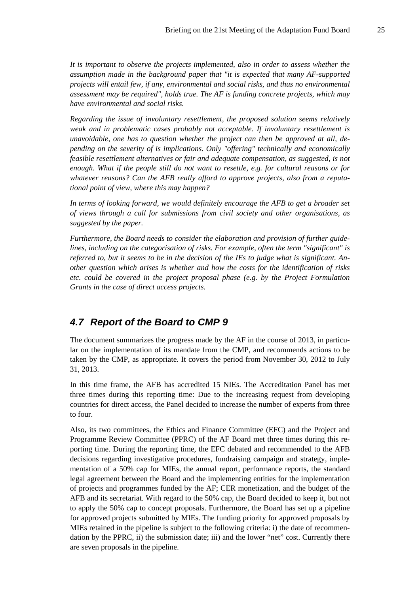*It is important to observe the projects implemented, also in order to assess whether the assumption made in the background paper that "it is expected that many AF-supported projects will entail few, if any, environmental and social risks, and thus no environmental assessment may be required", holds true. The AF is funding concrete projects, which may have environmental and social risks.* 

*Regarding the issue of involuntary resettlement, the proposed solution seems relatively weak and in problematic cases probably not acceptable. If involuntary resettlement is unavoidable, one has to question whether the project can then be approved at all, depending on the severity of is implications. Only "offering" technically and economically feasible resettlement alternatives or fair and adequate compensation, as suggested, is not enough. What if the people still do not want to resettle, e.g. for cultural reasons or for whatever reasons? Can the AFB really afford to approve projects, also from a reputational point of view, where this may happen?* 

*In terms of looking forward, we would definitely encourage the AFB to get a broader set of views through a call for submissions from civil society and other organisations, as suggested by the paper.* 

*Furthermore, the Board needs to consider the elaboration and provision of further guidelines, including on the categorisation of risks. For example, often the term "significant" is referred to, but it seems to be in the decision of the IEs to judge what is significant. Another question which arises is whether and how the costs for the identification of risks etc. could be covered in the project proposal phase (e.g. by the Project Formulation Grants in the case of direct access projects.* 

### <span id="page-24-0"></span>*4.7 Report of the Board to CMP 9*

The document summarizes the progress made by the AF in the course of 2013, in particular on the implementation of its mandate from the CMP, and recommends actions to be taken by the CMP, as appropriate. It covers the period from November 30, 2012 to July 31, 2013.

In this time frame, the AFB has accredited 15 NIEs. The Accreditation Panel has met three times during this reporting time: Due to the increasing request from developing countries for direct access, the Panel decided to increase the number of experts from three to four.

Also, its two committees, the Ethics and Finance Committee (EFC) and the Project and Programme Review Committee (PPRC) of the AF Board met three times during this reporting time. During the reporting time, the EFC debated and recommended to the AFB decisions regarding investigative procedures, fundraising campaign and strategy, implementation of a 50% cap for MIEs, the annual report, performance reports, the standard legal agreement between the Board and the implementing entities for the implementation of projects and programmes funded by the AF; CER monetization, and the budget of the AFB and its secretariat. With regard to the 50% cap, the Board decided to keep it, but not to apply the 50% cap to concept proposals. Furthermore, the Board has set up a pipeline for approved projects submitted by MIEs. The funding priority for approved proposals by MIEs retained in the pipeline is subject to the following criteria: i) the date of recommendation by the PPRC, ii) the submission date; iii) and the lower "net" cost. Currently there are seven proposals in the pipeline.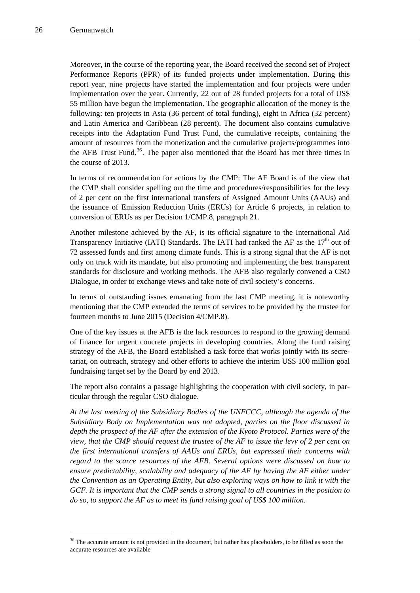l

Moreover, in the course of the reporting year, the Board received the second set of Project Performance Reports (PPR) of its funded projects under implementation. During this report year, nine projects have started the implementation and four projects were under implementation over the year. Currently, 22 out of 28 funded projects for a total of US\$ 55 million have begun the implementation. The geographic allocation of the money is the following: ten projects in Asia (36 percent of total funding), eight in Africa (32 percent) and Latin America and Caribbean (28 percent). The document also contains cumulative receipts into the Adaptation Fund Trust Fund, the cumulative receipts, containing the amount of resources from the monetization and the cumulative projects/programmes into the AFB Trust Fund.<sup>[36](#page-25-0)</sup>. The paper also mentioned that the Board has met three times in the course of 2013.

In terms of recommendation for actions by the CMP: The AF Board is of the view that the CMP shall consider spelling out the time and procedures/responsibilities for the levy of 2 per cent on the first international transfers of Assigned Amount Units (AAUs) and the issuance of Emission Reduction Units (ERUs) for Article 6 projects, in relation to conversion of ERUs as per Decision 1/CMP.8, paragraph 21.

Another milestone achieved by the AF, is its official signature to the International Aid Transparency Initiative (IATI) Standards. The IATI had ranked the AF as the  $17<sup>th</sup>$  out of 72 assessed funds and first among climate funds. This is a strong signal that the AF is not only on track with its mandate, but also promoting and implementing the best transparent standards for disclosure and working methods. The AFB also regularly convened a CSO Dialogue, in order to exchange views and take note of civil society's concerns.

In terms of outstanding issues emanating from the last CMP meeting, it is noteworthy mentioning that the CMP extended the terms of services to be provided by the trustee for fourteen months to June 2015 (Decision 4/CMP.8).

One of the key issues at the AFB is the lack resources to respond to the growing demand of finance for urgent concrete projects in developing countries. Along the fund raising strategy of the AFB, the Board established a task force that works jointly with its secretariat, on outreach, strategy and other efforts to achieve the interim US\$ 100 million goal fundraising target set by the Board by end 2013.

The report also contains a passage highlighting the cooperation with civil society, in particular through the regular CSO dialogue.

*At the last meeting of the Subsidiary Bodies of the UNFCCC, although the agenda of the Subsidiary Body on Implementation was not adopted, parties on the floor discussed in depth the prospect of the AF after the extension of the Kyoto Protocol. Parties were of the view, that the CMP should request the trustee of the AF to issue the levy of 2 per cent on the first international transfers of AAUs and ERUs, but expressed their concerns with regard to the scarce resources of the AFB. Several options were discussed on how to ensure predictability, scalability and adequacy of the AF by having the AF either under the Convention as an Operating Entity, but also exploring ways on how to link it with the GCF. It is important that the CMP sends a strong signal to all countries in the position to do so, to support the AF as to meet its fund raising goal of US\$ 100 million.*

<span id="page-25-0"></span><sup>&</sup>lt;sup>36</sup> The accurate amount is not provided in the document, but rather has placeholders, to be filled as soon the accurate resources are available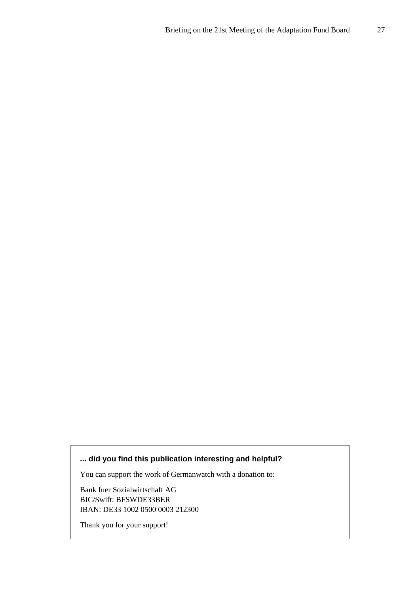## **... did you find this publication interesting and helpful?**

You can support the work of Germanwatch with a donation to:

Bank fuer Sozialwirtschaft AG BIC/Swift: BFSWDE33BER IBAN: DE33 1002 0500 0003 212300

Thank you for your support!